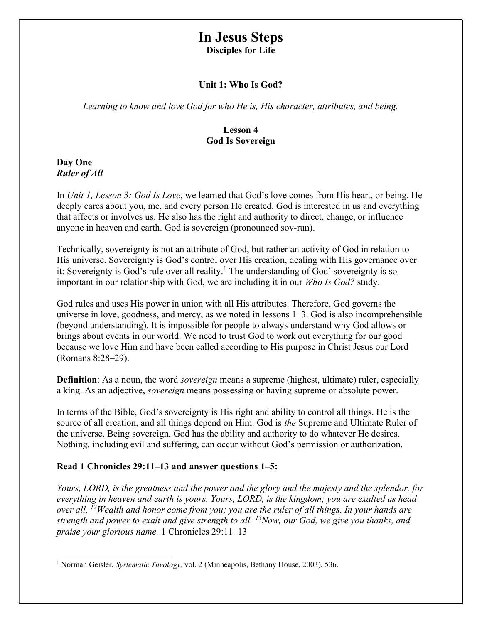# In Jesus Steps

Disciples for Life

# Unit 1: Who Is God?

Learning to know and love God for who He is, His character, attributes, and being.

## Lesson 4 God Is Sovereign

## Day One Ruler of All

In Unit 1, Lesson 3: God Is Love, we learned that God's love comes from His heart, or being. He deeply cares about you, me, and every person He created. God is interested in us and everything that affects or involves us. He also has the right and authority to direct, change, or influence anyone in heaven and earth. God is sovereign (pronounced sov-run).

Technically, sovereignty is not an attribute of God, but rather an activity of God in relation to His universe. Sovereignty is God's control over His creation, dealing with His governance over it: Sovereignty is God's rule over all reality.<sup>1</sup> The understanding of God' sovereignty is so important in our relationship with God, we are including it in our Who Is God? study.

God rules and uses His power in union with all His attributes. Therefore, God governs the universe in love, goodness, and mercy, as we noted in lessons 1–3. God is also incomprehensible (beyond understanding). It is impossible for people to always understand why God allows or brings about events in our world. We need to trust God to work out everything for our good because we love Him and have been called according to His purpose in Christ Jesus our Lord (Romans 8:28–29).

**Definition**: As a noun, the word *sovereign* means a supreme (highest, ultimate) ruler, especially a king. As an adjective, sovereign means possessing or having supreme or absolute power.

In terms of the Bible, God's sovereignty is His right and ability to control all things. He is the source of all creation, and all things depend on Him. God is *the* Supreme and Ultimate Ruler of the universe. Being sovereign, God has the ability and authority to do whatever He desires. Nothing, including evil and suffering, can occur without God's permission or authorization.

## Read 1 Chronicles 29:11–13 and answer questions 1–5:

Yours, LORD, is the greatness and the power and the glory and the majesty and the splendor, for everything in heaven and earth is yours. Yours, LORD, is the kingdom; you are exalted as head over all. <sup>12</sup>Wealth and honor come from you; you are the ruler of all things. In your hands are strength and power to exalt and give strength to all.  $^{13}$ Now, our God, we give you thanks, and praise your glorious name. 1 Chronicles 29:11–13

<sup>&</sup>lt;sup>1</sup> Norman Geisler, Systematic Theology, vol. 2 (Minneapolis, Bethany House, 2003), 536.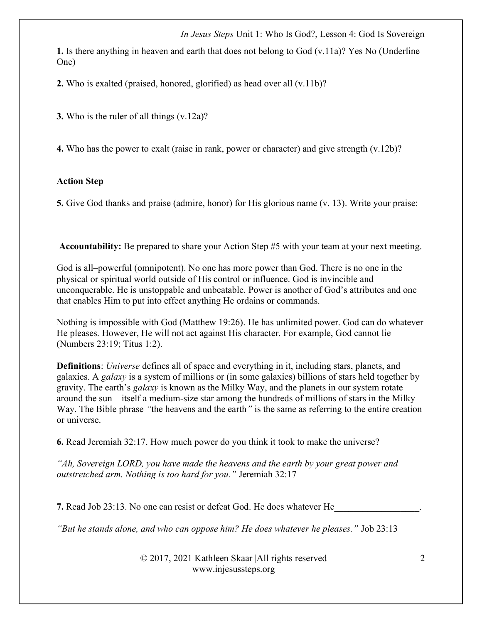1. Is there anything in heaven and earth that does not belong to God (v.11a)? Yes No (Underline One)

2. Who is exalted (praised, honored, glorified) as head over all (v.11b)?

3. Who is the ruler of all things (v.12a)?

4. Who has the power to exalt (raise in rank, power or character) and give strength (v.12b)?

#### Action Step

5. Give God thanks and praise (admire, honor) for His glorious name (v. 13). Write your praise:

Accountability: Be prepared to share your Action Step #5 with your team at your next meeting.

God is all–powerful (omnipotent). No one has more power than God. There is no one in the physical or spiritual world outside of His control or influence. God is invincible and unconquerable. He is unstoppable and unbeatable. Power is another of God's attributes and one that enables Him to put into effect anything He ordains or commands.

Nothing is impossible with God (Matthew 19:26). He has unlimited power. God can do whatever He pleases. However, He will not act against His character. For example, God cannot lie (Numbers 23:19; Titus 1:2).

Definitions: Universe defines all of space and everything in it, including stars, planets, and galaxies. A galaxy is a system of millions or (in some galaxies) billions of stars held together by gravity. The earth's galaxy is known as the Milky Way, and the planets in our system rotate around the sun—itself a medium-size star among the hundreds of millions of stars in the Milky Way. The Bible phrase "the heavens and the earth" is the same as referring to the entire creation or universe.

6. Read Jeremiah 32:17. How much power do you think it took to make the universe?

"Ah, Sovereign LORD, you have made the heavens and the earth by your great power and outstretched arm. Nothing is too hard for you." Jeremiah 32:17

7. Read Job 23:13. No one can resist or defeat God. He does whatever He

"But he stands alone, and who can oppose him? He does whatever he pleases." Job 23:13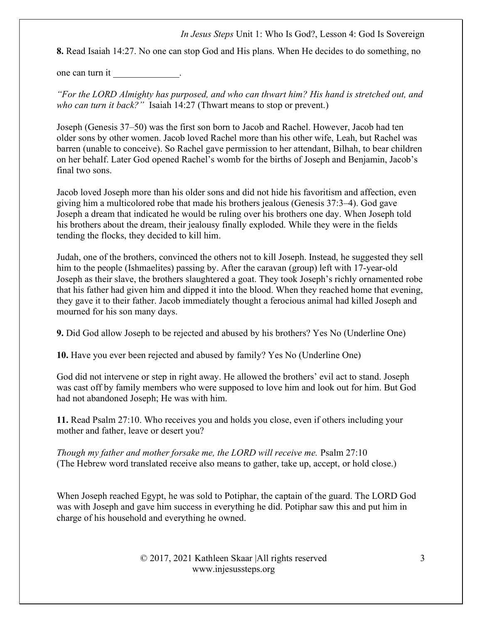8. Read Isaiah 14:27. No one can stop God and His plans. When He decides to do something, no

one can turn it each contact the contact of the contact of the contact of the contact of the contact of the contact of the contact of the contact of the contact of the contact of the contact of the contact of the contact o

"For the LORD Almighty has purposed, and who can thwart him? His hand is stretched out, and who can turn it back?" Isaiah 14:27 (Thwart means to stop or prevent.)

Joseph (Genesis 37–50) was the first son born to Jacob and Rachel. However, Jacob had ten older sons by other women. Jacob loved Rachel more than his other wife, Leah, but Rachel was barren (unable to conceive). So Rachel gave permission to her attendant, Bilhah, to bear children on her behalf. Later God opened Rachel's womb for the births of Joseph and Benjamin, Jacob's final two sons.

Jacob loved Joseph more than his older sons and did not hide his favoritism and affection, even giving him a multicolored robe that made his brothers jealous (Genesis 37:3–4). God gave Joseph a dream that indicated he would be ruling over his brothers one day. When Joseph told his brothers about the dream, their jealousy finally exploded. While they were in the fields tending the flocks, they decided to kill him.

Judah, one of the brothers, convinced the others not to kill Joseph. Instead, he suggested they sell him to the people (Ishmaelites) passing by. After the caravan (group) left with 17-year-old Joseph as their slave, the brothers slaughtered a goat. They took Joseph's richly ornamented robe that his father had given him and dipped it into the blood. When they reached home that evening, they gave it to their father. Jacob immediately thought a ferocious animal had killed Joseph and mourned for his son many days.

9. Did God allow Joseph to be rejected and abused by his brothers? Yes No (Underline One)

10. Have you ever been rejected and abused by family? Yes No (Underline One)

God did not intervene or step in right away. He allowed the brothers' evil act to stand. Joseph was cast off by family members who were supposed to love him and look out for him. But God had not abandoned Joseph; He was with him.

11. Read Psalm 27:10. Who receives you and holds you close, even if others including your mother and father, leave or desert you?

Though my father and mother forsake me, the LORD will receive me. Psalm 27:10 (The Hebrew word translated receive also means to gather, take up, accept, or hold close.)

When Joseph reached Egypt, he was sold to Potiphar, the captain of the guard. The LORD God was with Joseph and gave him success in everything he did. Potiphar saw this and put him in charge of his household and everything he owned.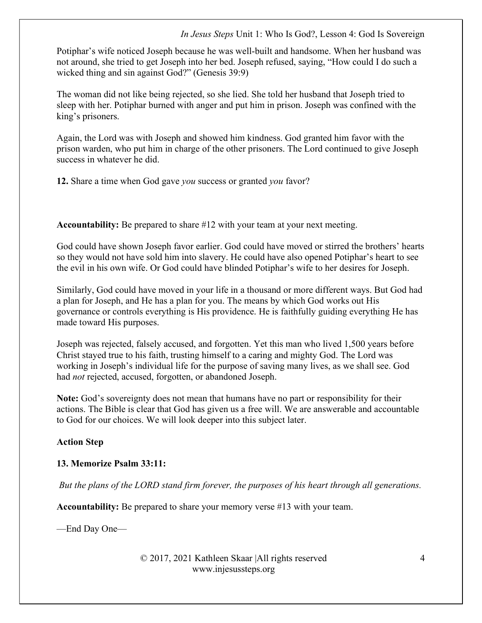Potiphar's wife noticed Joseph because he was well-built and handsome. When her husband was not around, she tried to get Joseph into her bed. Joseph refused, saying, "How could I do such a wicked thing and sin against God?" (Genesis 39:9)

The woman did not like being rejected, so she lied. She told her husband that Joseph tried to sleep with her. Potiphar burned with anger and put him in prison. Joseph was confined with the king's prisoners.

Again, the Lord was with Joseph and showed him kindness. God granted him favor with the prison warden, who put him in charge of the other prisoners. The Lord continued to give Joseph success in whatever he did.

12. Share a time when God gave you success or granted you favor?

Accountability: Be prepared to share #12 with your team at your next meeting.

God could have shown Joseph favor earlier. God could have moved or stirred the brothers' hearts so they would not have sold him into slavery. He could have also opened Potiphar's heart to see the evil in his own wife. Or God could have blinded Potiphar's wife to her desires for Joseph.

Similarly, God could have moved in your life in a thousand or more different ways. But God had a plan for Joseph, and He has a plan for you. The means by which God works out His governance or controls everything is His providence. He is faithfully guiding everything He has made toward His purposes.

Joseph was rejected, falsely accused, and forgotten. Yet this man who lived 1,500 years before Christ stayed true to his faith, trusting himself to a caring and mighty God. The Lord was working in Joseph's individual life for the purpose of saving many lives, as we shall see. God had not rejected, accused, forgotten, or abandoned Joseph.

Note: God's sovereignty does not mean that humans have no part or responsibility for their actions. The Bible is clear that God has given us a free will. We are answerable and accountable to God for our choices. We will look deeper into this subject later.

## Action Step

## 13. Memorize Psalm 33:11:

But the plans of the LORD stand firm forever, the purposes of his heart through all generations.

Accountability: Be prepared to share your memory verse #13 with your team.

—End Day One—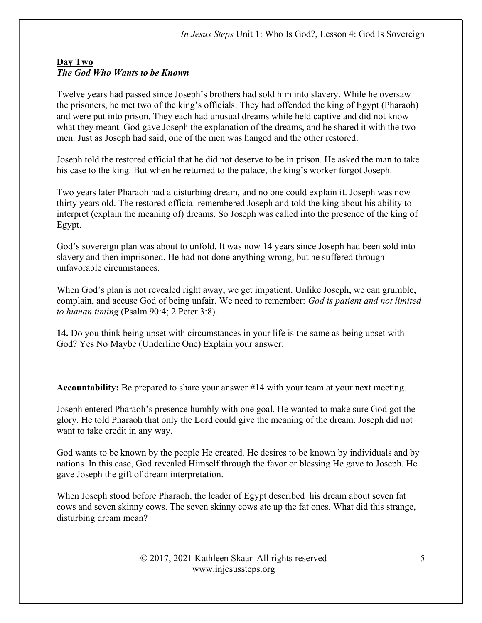## Day Two The God Who Wants to be Known

Twelve years had passed since Joseph's brothers had sold him into slavery. While he oversaw the prisoners, he met two of the king's officials. They had offended the king of Egypt (Pharaoh) and were put into prison. They each had unusual dreams while held captive and did not know what they meant. God gave Joseph the explanation of the dreams, and he shared it with the two men. Just as Joseph had said, one of the men was hanged and the other restored.

Joseph told the restored official that he did not deserve to be in prison. He asked the man to take his case to the king. But when he returned to the palace, the king's worker forgot Joseph.

Two years later Pharaoh had a disturbing dream, and no one could explain it. Joseph was now thirty years old. The restored official remembered Joseph and told the king about his ability to interpret (explain the meaning of) dreams. So Joseph was called into the presence of the king of Egypt.

God's sovereign plan was about to unfold. It was now 14 years since Joseph had been sold into slavery and then imprisoned. He had not done anything wrong, but he suffered through unfavorable circumstances.

When God's plan is not revealed right away, we get impatient. Unlike Joseph, we can grumble, complain, and accuse God of being unfair. We need to remember: God is patient and not limited to human timing (Psalm 90:4; 2 Peter 3:8).

14. Do you think being upset with circumstances in your life is the same as being upset with God? Yes No Maybe (Underline One) Explain your answer:

Accountability: Be prepared to share your answer #14 with your team at your next meeting.

Joseph entered Pharaoh's presence humbly with one goal. He wanted to make sure God got the glory. He told Pharaoh that only the Lord could give the meaning of the dream. Joseph did not want to take credit in any way.

God wants to be known by the people He created. He desires to be known by individuals and by nations. In this case, God revealed Himself through the favor or blessing He gave to Joseph. He gave Joseph the gift of dream interpretation.

When Joseph stood before Pharaoh, the leader of Egypt described his dream about seven fat cows and seven skinny cows. The seven skinny cows ate up the fat ones. What did this strange, disturbing dream mean?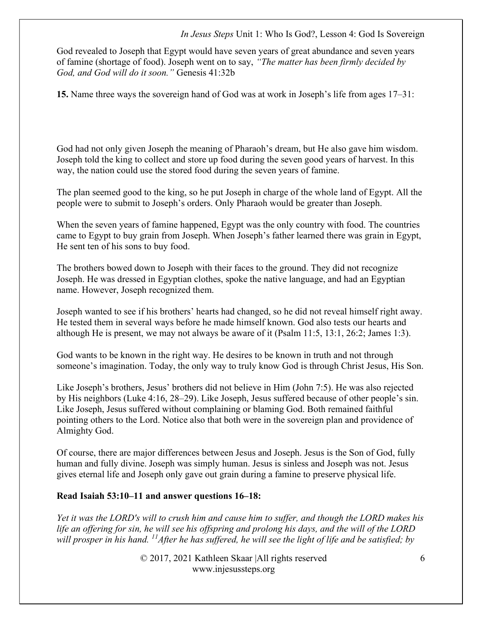God revealed to Joseph that Egypt would have seven years of great abundance and seven years of famine (shortage of food). Joseph went on to say, "The matter has been firmly decided by God, and God will do it soon." Genesis 41:32b

15. Name three ways the sovereign hand of God was at work in Joseph's life from ages 17–31:

God had not only given Joseph the meaning of Pharaoh's dream, but He also gave him wisdom. Joseph told the king to collect and store up food during the seven good years of harvest. In this way, the nation could use the stored food during the seven years of famine.

The plan seemed good to the king, so he put Joseph in charge of the whole land of Egypt. All the people were to submit to Joseph's orders. Only Pharaoh would be greater than Joseph.

When the seven years of famine happened, Egypt was the only country with food. The countries came to Egypt to buy grain from Joseph. When Joseph's father learned there was grain in Egypt, He sent ten of his sons to buy food.

The brothers bowed down to Joseph with their faces to the ground. They did not recognize Joseph. He was dressed in Egyptian clothes, spoke the native language, and had an Egyptian name. However, Joseph recognized them.

Joseph wanted to see if his brothers' hearts had changed, so he did not reveal himself right away. He tested them in several ways before he made himself known. God also tests our hearts and although He is present, we may not always be aware of it (Psalm 11:5, 13:1, 26:2; James 1:3).

God wants to be known in the right way. He desires to be known in truth and not through someone's imagination. Today, the only way to truly know God is through Christ Jesus, His Son.

Like Joseph's brothers, Jesus' brothers did not believe in Him (John 7:5). He was also rejected by His neighbors (Luke 4:16, 28–29). Like Joseph, Jesus suffered because of other people's sin. Like Joseph, Jesus suffered without complaining or blaming God. Both remained faithful pointing others to the Lord. Notice also that both were in the sovereign plan and providence of Almighty God.

Of course, there are major differences between Jesus and Joseph. Jesus is the Son of God, fully human and fully divine. Joseph was simply human. Jesus is sinless and Joseph was not. Jesus gives eternal life and Joseph only gave out grain during a famine to preserve physical life.

#### Read Isaiah 53:10–11 and answer questions 16–18:

Yet it was the LORD's will to crush him and cause him to suffer, and though the LORD makes his life an offering for sin, he will see his offspring and prolong his days, and the will of the LORD will prosper in his hand.  $^{11}$ After he has suffered, he will see the light of life and be satisfied; by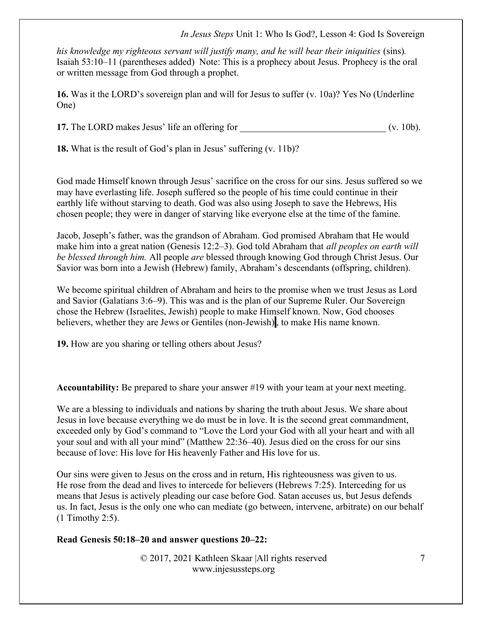his knowledge my righteous servant will justify many, and he will bear their iniquities (sins). Isaiah 53:10–11 (parentheses added) Note: This is a prophecy about Jesus. Prophecy is the oral or written message from God through a prophet.

16. Was it the LORD's sovereign plan and will for Jesus to suffer (v. 10a)? Yes No (Underline One)

17. The LORD makes Jesus' life an offering for  $($ v. 10b).

18. What is the result of God's plan in Jesus' suffering (v. 11b)?

God made Himself known through Jesus' sacrifice on the cross for our sins. Jesus suffered so we may have everlasting life. Joseph suffered so the people of his time could continue in their earthly life without starving to death. God was also using Joseph to save the Hebrews, His chosen people; they were in danger of starving like everyone else at the time of the famine.

Jacob, Joseph's father, was the grandson of Abraham. God promised Abraham that He would make him into a great nation (Genesis 12:2–3). God told Abraham that *all peoples on earth will* be blessed through him. All people are blessed through knowing God through Christ Jesus. Our Savior was born into a Jewish (Hebrew) family, Abraham's descendants (offspring, children).

We become spiritual children of Abraham and heirs to the promise when we trust Jesus as Lord and Savior (Galatians 3:6–9). This was and is the plan of our Supreme Ruler. Our Sovereign chose the Hebrew (Israelites, Jewish) people to make Himself known. Now, God chooses believers, whether they are Jews or Gentiles (non-Jewish), to make His name known.

19. How are you sharing or telling others about Jesus?

Accountability: Be prepared to share your answer #19 with your team at your next meeting.

We are a blessing to individuals and nations by sharing the truth about Jesus. We share about Jesus in love because everything we do must be in love. It is the second great commandment, exceeded only by God's command to "Love the Lord your God with all your heart and with all your soul and with all your mind" (Matthew 22:36–40). Jesus died on the cross for our sins because of love: His love for His heavenly Father and His love for us.

Our sins were given to Jesus on the cross and in return, His righteousness was given to us. He rose from the dead and lives to intercede for believers (Hebrews 7:25). Interceding for us means that Jesus is actively pleading our case before God. Satan accuses us, but Jesus defends us. In fact, Jesus is the only one who can mediate (go between, intervene, arbitrate) on our behalf (1 Timothy 2:5).

#### Read Genesis 50:18–20 and answer questions 20–22: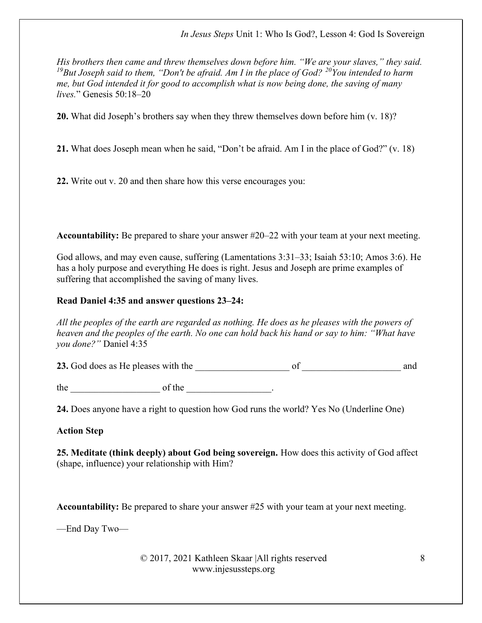His brothers then came and threw themselves down before him. "We are your slaves," they said. <sup>19</sup>But Joseph said to them, "Don't be afraid. Am I in the place of God?  $^{20}$ You intended to harm me, but God intended it for good to accomplish what is now being done, the saving of many lives." Genesis 50:18–20

20. What did Joseph's brothers say when they threw themselves down before him (v. 18)?

21. What does Joseph mean when he said, "Don't be afraid. Am I in the place of God?" (v. 18)

22. Write out v. 20 and then share how this verse encourages you:

Accountability: Be prepared to share your answer #20–22 with your team at your next meeting.

God allows, and may even cause, suffering (Lamentations 3:31–33; Isaiah 53:10; Amos 3:6). He has a holy purpose and everything He does is right. Jesus and Joseph are prime examples of suffering that accomplished the saving of many lives.

# Read Daniel 4:35 and answer questions 23–24:

All the peoples of the earth are regarded as nothing. He does as he pleases with the powers of heaven and the peoples of the earth. No one can hold back his hand or say to him: "What have you done?" Daniel 4:35

23. God does as He pleases with the \_\_\_\_\_\_\_\_\_\_\_\_\_\_\_\_\_\_\_\_ of \_\_\_\_\_\_\_\_\_\_\_\_\_\_\_\_\_\_\_\_\_ and

 $the$  of the  $\qquad \qquad$  .

24. Does anyone have a right to question how God runs the world? Yes No (Underline One)

# Action Step

25. Meditate (think deeply) about God being sovereign. How does this activity of God affect (shape, influence) your relationship with Him?

Accountability: Be prepared to share your answer #25 with your team at your next meeting.

—End Day Two—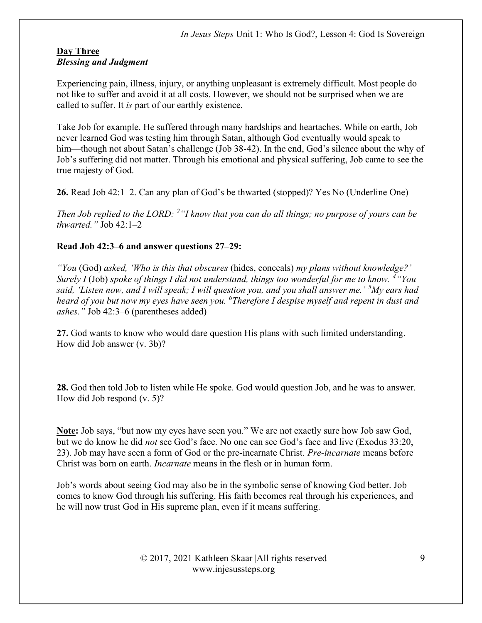## Day Three Blessing and Judgment

Experiencing pain, illness, injury, or anything unpleasant is extremely difficult. Most people do not like to suffer and avoid it at all costs. However, we should not be surprised when we are called to suffer. It is part of our earthly existence.

Take Job for example. He suffered through many hardships and heartaches. While on earth, Job never learned God was testing him through Satan, although God eventually would speak to him—though not about Satan's challenge (Job 38-42). In the end, God's silence about the why of Job's suffering did not matter. Through his emotional and physical suffering, Job came to see the true majesty of God.

26. Read Job 42:1–2. Can any plan of God's be thwarted (stopped)? Yes No (Underline One)

Then Job replied to the LORD:  $2^{\omega}$  know that you can do all things; no purpose of yours can be thwarted." Job 42:1–2

## Read Job 42:3–6 and answer questions 27–29:

"You (God) asked, 'Who is this that obscures (hides, conceals) my plans without knowledge?' Surely I (Job) spoke of things I did not understand, things too wonderful for me to know.  $4\degree$ You said, 'Listen now, and I will speak; I will question you, and you shall answer me.'  $5My$  ears had heard of you but now my eyes have seen you. <sup>6</sup>Therefore I despise myself and repent in dust and ashes." Job 42:3–6 (parentheses added)

27. God wants to know who would dare question His plans with such limited understanding. How did Job answer (v. 3b)?

28. God then told Job to listen while He spoke. God would question Job, and he was to answer. How did Job respond (v. 5)?

Note: Job says, "but now my eyes have seen you." We are not exactly sure how Job saw God, but we do know he did not see God's face. No one can see God's face and live (Exodus 33:20, 23). Job may have seen a form of God or the pre-incarnate Christ. *Pre-incarnate* means before Christ was born on earth. Incarnate means in the flesh or in human form.

Job's words about seeing God may also be in the symbolic sense of knowing God better. Job comes to know God through his suffering. His faith becomes real through his experiences, and he will now trust God in His supreme plan, even if it means suffering.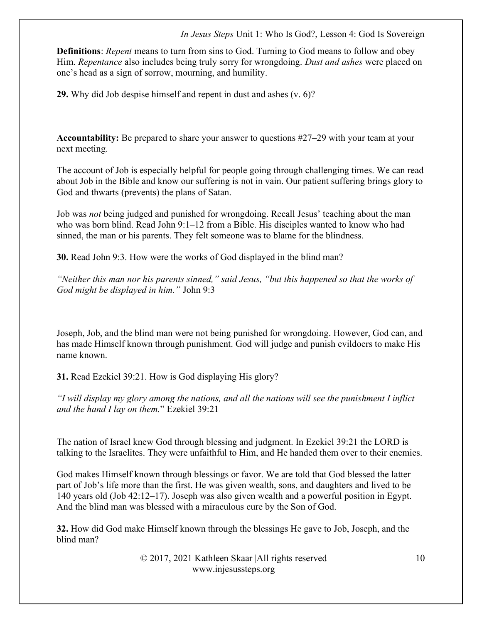**Definitions:** *Repent* means to turn from sins to God. Turning to God means to follow and obey Him. Repentance also includes being truly sorry for wrongdoing. Dust and ashes were placed on one's head as a sign of sorrow, mourning, and humility.

29. Why did Job despise himself and repent in dust and ashes (v. 6)?

Accountability: Be prepared to share your answer to questions #27–29 with your team at your next meeting.

The account of Job is especially helpful for people going through challenging times. We can read about Job in the Bible and know our suffering is not in vain. Our patient suffering brings glory to God and thwarts (prevents) the plans of Satan.

Job was *not* being judged and punished for wrongdoing. Recall Jesus' teaching about the man who was born blind. Read John 9:1–12 from a Bible. His disciples wanted to know who had sinned, the man or his parents. They felt someone was to blame for the blindness.

30. Read John 9:3. How were the works of God displayed in the blind man?

"Neither this man nor his parents sinned," said Jesus, "but this happened so that the works of God might be displayed in him." John 9:3

Joseph, Job, and the blind man were not being punished for wrongdoing. However, God can, and has made Himself known through punishment. God will judge and punish evildoers to make His name known.

31. Read Ezekiel 39:21. How is God displaying His glory?

"I will display my glory among the nations, and all the nations will see the punishment I inflict and the hand I lay on them." Ezekiel 39:21

The nation of Israel knew God through blessing and judgment. In Ezekiel 39:21 the LORD is talking to the Israelites. They were unfaithful to Him, and He handed them over to their enemies.

God makes Himself known through blessings or favor. We are told that God blessed the latter part of Job's life more than the first. He was given wealth, sons, and daughters and lived to be 140 years old (Job 42:12–17). Joseph was also given wealth and a powerful position in Egypt. And the blind man was blessed with a miraculous cure by the Son of God.

32. How did God make Himself known through the blessings He gave to Job, Joseph, and the blind man?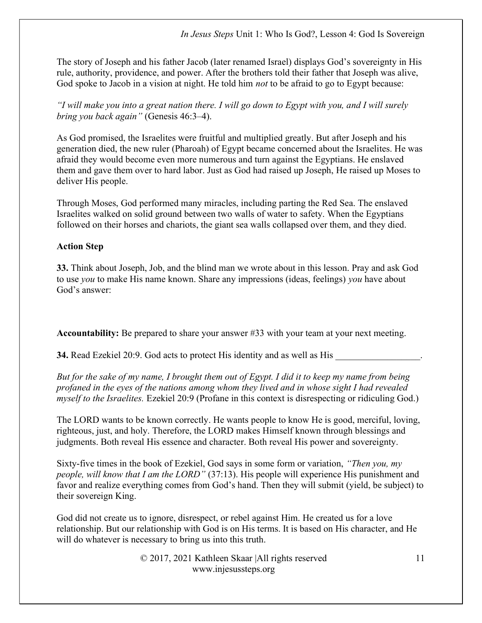The story of Joseph and his father Jacob (later renamed Israel) displays God's sovereignty in His rule, authority, providence, and power. After the brothers told their father that Joseph was alive, God spoke to Jacob in a vision at night. He told him *not* to be afraid to go to Egypt because:

"I will make you into a great nation there. I will go down to Egypt with you, and I will surely bring you back again" (Genesis 46:3–4).

As God promised, the Israelites were fruitful and multiplied greatly. But after Joseph and his generation died, the new ruler (Pharoah) of Egypt became concerned about the Israelites. He was afraid they would become even more numerous and turn against the Egyptians. He enslaved them and gave them over to hard labor. Just as God had raised up Joseph, He raised up Moses to deliver His people.

Through Moses, God performed many miracles, including parting the Red Sea. The enslaved Israelites walked on solid ground between two walls of water to safety. When the Egyptians followed on their horses and chariots, the giant sea walls collapsed over them, and they died.

# Action Step

33. Think about Joseph, Job, and the blind man we wrote about in this lesson. Pray and ask God to use *you* to make His name known. Share any impressions (ideas, feelings) you have about God's answer:

Accountability: Be prepared to share your answer #33 with your team at your next meeting.

34. Read Ezekiel 20:9. God acts to protect His identity and as well as His

But for the sake of my name, I brought them out of Egypt. I did it to keep my name from being profaned in the eyes of the nations among whom they lived and in whose sight I had revealed myself to the Israelites. Ezekiel 20:9 (Profane in this context is disrespecting or ridiculing God.)

The LORD wants to be known correctly. He wants people to know He is good, merciful, loving, righteous, just, and holy. Therefore, the LORD makes Himself known through blessings and judgments. Both reveal His essence and character. Both reveal His power and sovereignty.

Sixty-five times in the book of Ezekiel, God says in some form or variation, "Then you, my people, will know that I am the LORD" (37:13). His people will experience His punishment and favor and realize everything comes from God's hand. Then they will submit (yield, be subject) to their sovereign King.

God did not create us to ignore, disrespect, or rebel against Him. He created us for a love relationship. But our relationship with God is on His terms. It is based on His character, and He will do whatever is necessary to bring us into this truth.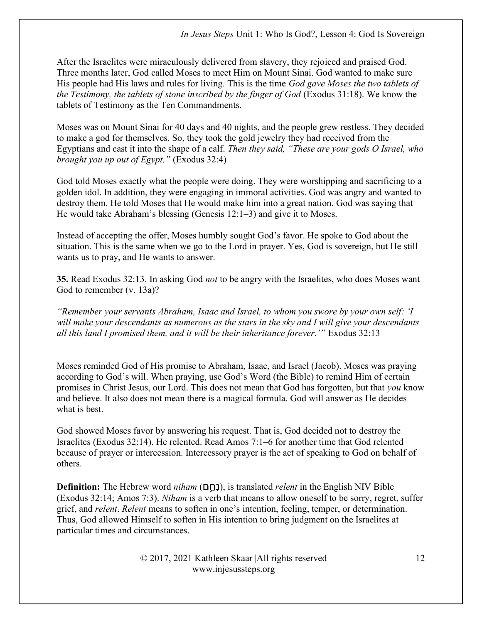After the Israelites were miraculously delivered from slavery, they rejoiced and praised God. Three months later, God called Moses to meet Him on Mount Sinai. God wanted to make sure His people had His laws and rules for living. This is the time God gave Moses the two tablets of the Testimony, the tablets of stone inscribed by the finger of God (Exodus 31:18). We know the tablets of Testimony as the Ten Commandments.

Moses was on Mount Sinai for 40 days and 40 nights, and the people grew restless. They decided to make a god for themselves. So, they took the gold jewelry they had received from the Egyptians and cast it into the shape of a calf. Then they said, "These are your gods O Israel, who brought you up out of Egypt." (Exodus 32:4)

God told Moses exactly what the people were doing. They were worshipping and sacrificing to a golden idol. In addition, they were engaging in immoral activities. God was angry and wanted to destroy them. He told Moses that He would make him into a great nation. God was saying that He would take Abraham's blessing (Genesis 12:1–3) and give it to Moses.

Instead of accepting the offer, Moses humbly sought God's favor. He spoke to God about the situation. This is the same when we go to the Lord in prayer. Yes, God is sovereign, but He still wants us to pray, and He wants to answer.

35. Read Exodus 32:13. In asking God not to be angry with the Israelites, who does Moses want God to remember (v. 13a)?

"Remember your servants Abraham, Isaac and Israel, to whom you swore by your own self: 'I will make your descendants as numerous as the stars in the sky and I will give your descendants all this land I promised them, and it will be their inheritance forever.'" Exodus 32:13

Moses reminded God of His promise to Abraham, Isaac, and Israel (Jacob). Moses was praying according to God's will. When praying, use God's Word (the Bible) to remind Him of certain promises in Christ Jesus, our Lord. This does not mean that God has forgotten, but that you know and believe. It also does not mean there is a magical formula. God will answer as He decides what is best.

God showed Moses favor by answering his request. That is, God decided not to destroy the Israelites (Exodus 32:14). He relented. Read Amos 7:1–6 for another time that God relented because of prayer or intercession. Intercessory prayer is the act of speaking to God on behalf of others.

**Definition:** The Hebrew word *niham* (נְחַם), is translated *relent* in the English NIV Bible (Exodus 32:14; Amos 7:3). Niham is a verb that means to allow oneself to be sorry, regret, suffer grief, and relent. Relent means to soften in one's intention, feeling, temper, or determination. Thus, God allowed Himself to soften in His intention to bring judgment on the Israelites at particular times and circumstances.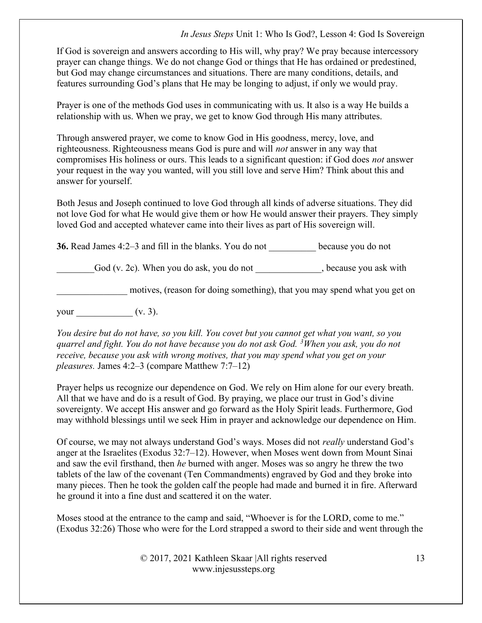If God is sovereign and answers according to His will, why pray? We pray because intercessory prayer can change things. We do not change God or things that He has ordained or predestined, but God may change circumstances and situations. There are many conditions, details, and features surrounding God's plans that He may be longing to adjust, if only we would pray.

Prayer is one of the methods God uses in communicating with us. It also is a way He builds a relationship with us. When we pray, we get to know God through His many attributes.

Through answered prayer, we come to know God in His goodness, mercy, love, and righteousness. Righteousness means God is pure and will not answer in any way that compromises His holiness or ours. This leads to a significant question: if God does not answer your request in the way you wanted, will you still love and serve Him? Think about this and answer for yourself.

Both Jesus and Joseph continued to love God through all kinds of adverse situations. They did not love God for what He would give them or how He would answer their prayers. They simply loved God and accepted whatever came into their lives as part of His sovereign will.

36. Read James 4:2–3 and fill in the blanks. You do not \_\_\_\_\_\_\_\_\_\_ because you do not

God (v. 2c). When you do ask, you do not , because you ask with

motives, (reason for doing something), that you may spend what you get on

your  $(v. 3)$ .

You desire but do not have, so you kill. You covet but you cannot get what you want, so you quarrel and fight. You do not have because you do not ask God. <sup>3</sup>When you ask, you do not receive, because you ask with wrong motives, that you may spend what you get on your pleasures. James 4:2–3 (compare Matthew 7:7–12)

Prayer helps us recognize our dependence on God. We rely on Him alone for our every breath. All that we have and do is a result of God. By praying, we place our trust in God's divine sovereignty. We accept His answer and go forward as the Holy Spirit leads. Furthermore, God may withhold blessings until we seek Him in prayer and acknowledge our dependence on Him.

Of course, we may not always understand God's ways. Moses did not really understand God's anger at the Israelites (Exodus 32:7–12). However, when Moses went down from Mount Sinai and saw the evil firsthand, then he burned with anger. Moses was so angry he threw the two tablets of the law of the covenant (Ten Commandments) engraved by God and they broke into many pieces. Then he took the golden calf the people had made and burned it in fire. Afterward he ground it into a fine dust and scattered it on the water.

Moses stood at the entrance to the camp and said, "Whoever is for the LORD, come to me." (Exodus 32:26) Those who were for the Lord strapped a sword to their side and went through the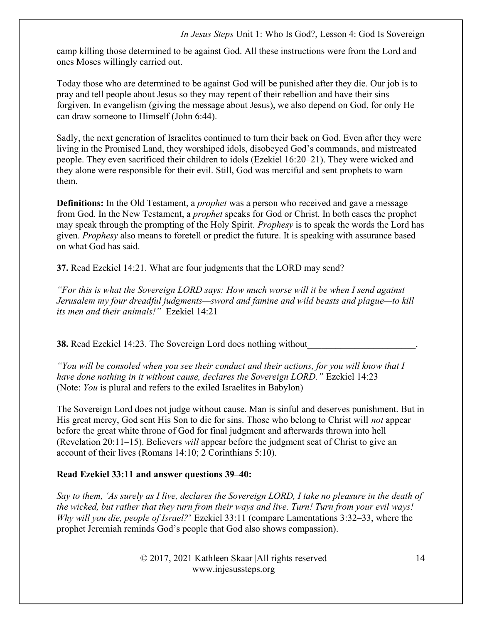camp killing those determined to be against God. All these instructions were from the Lord and ones Moses willingly carried out.

Today those who are determined to be against God will be punished after they die. Our job is to pray and tell people about Jesus so they may repent of their rebellion and have their sins forgiven. In evangelism (giving the message about Jesus), we also depend on God, for only He can draw someone to Himself (John 6:44).

Sadly, the next generation of Israelites continued to turn their back on God. Even after they were living in the Promised Land, they worshiped idols, disobeyed God's commands, and mistreated people. They even sacrificed their children to idols (Ezekiel 16:20–21). They were wicked and they alone were responsible for their evil. Still, God was merciful and sent prophets to warn them.

**Definitions:** In the Old Testament, a *prophet* was a person who received and gave a message from God. In the New Testament, a prophet speaks for God or Christ. In both cases the prophet may speak through the prompting of the Holy Spirit. Prophesy is to speak the words the Lord has given. Prophesy also means to foretell or predict the future. It is speaking with assurance based on what God has said.

37. Read Ezekiel 14:21. What are four judgments that the LORD may send?

"For this is what the Sovereign LORD says: How much worse will it be when I send against Jerusalem my four dreadful judgments—sword and famine and wild beasts and plague—to kill its men and their animals!" Ezekiel 14:21

38. Read Ezekiel 14:23. The Sovereign Lord does nothing without

"You will be consoled when you see their conduct and their actions, for you will know that  $I$ have done nothing in it without cause, declares the Sovereign LORD." Ezekiel 14:23 (Note: You is plural and refers to the exiled Israelites in Babylon)

The Sovereign Lord does not judge without cause. Man is sinful and deserves punishment. But in His great mercy, God sent His Son to die for sins. Those who belong to Christ will not appear before the great white throne of God for final judgment and afterwards thrown into hell (Revelation 20:11–15). Believers will appear before the judgment seat of Christ to give an account of their lives (Romans 14:10; 2 Corinthians 5:10).

# Read Ezekiel 33:11 and answer questions 39–40:

Say to them, 'As surely as I live, declares the Sovereign LORD, I take no pleasure in the death of the wicked, but rather that they turn from their ways and live. Turn! Turn from your evil ways! Why will you die, people of Israel?' Ezekiel 33:11 (compare Lamentations 3:32–33, where the prophet Jeremiah reminds God's people that God also shows compassion).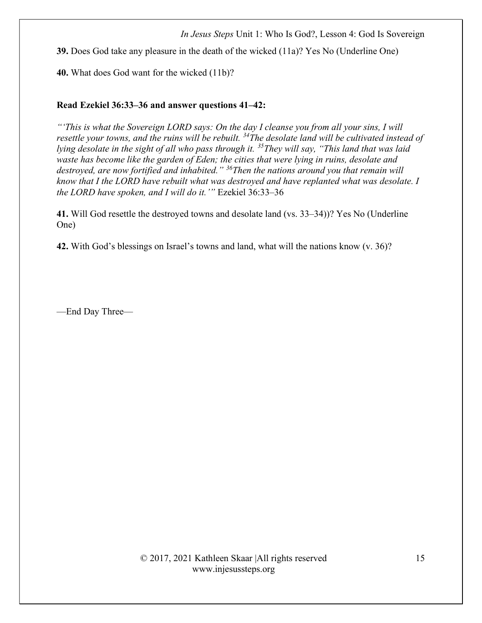39. Does God take any pleasure in the death of the wicked (11a)? Yes No (Underline One)

40. What does God want for the wicked (11b)?

#### Read Ezekiel 36:33–36 and answer questions 41–42:

"'This is what the Sovereign LORD says: On the day I cleanse you from all your sins, I will resettle your towns, and the ruins will be rebuilt.  $34$ The desolate land will be cultivated instead of lying desolate in the sight of all who pass through it.  $35$  They will say, "This land that was laid waste has become like the garden of Eden; the cities that were lying in ruins, desolate and destroyed, are now fortified and inhabited." <sup>36</sup>Then the nations around you that remain will know that I the LORD have rebuilt what was destroyed and have replanted what was desolate. I the LORD have spoken, and I will do it.'" Ezekiel 36:33–36

41. Will God resettle the destroyed towns and desolate land (vs. 33–34))? Yes No (Underline One)

42. With God's blessings on Israel's towns and land, what will the nations know (v. 36)?

—End Day Three—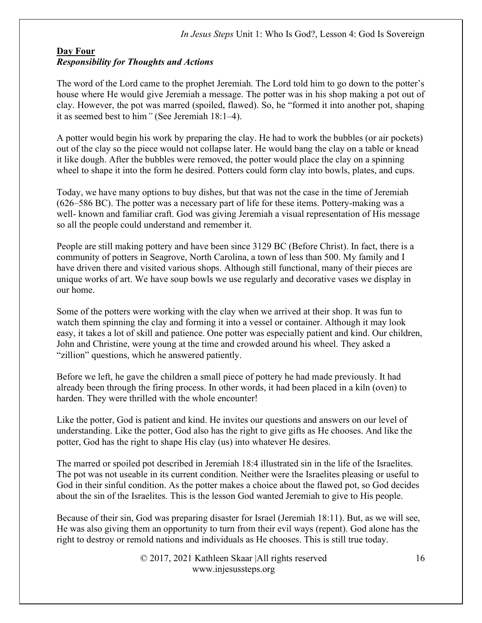# Day Four Responsibility for Thoughts and Actions

The word of the Lord came to the prophet Jeremiah. The Lord told him to go down to the potter's house where He would give Jeremiah a message. The potter was in his shop making a pot out of clay. However, the pot was marred (spoiled, flawed). So, he "formed it into another pot, shaping it as seemed best to him" (See Jeremiah 18:1–4).

A potter would begin his work by preparing the clay. He had to work the bubbles (or air pockets) out of the clay so the piece would not collapse later. He would bang the clay on a table or knead it like dough. After the bubbles were removed, the potter would place the clay on a spinning wheel to shape it into the form he desired. Potters could form clay into bowls, plates, and cups.

Today, we have many options to buy dishes, but that was not the case in the time of Jeremiah (626–586 BC). The potter was a necessary part of life for these items. Pottery-making was a well- known and familiar craft. God was giving Jeremiah a visual representation of His message so all the people could understand and remember it.

People are still making pottery and have been since 3129 BC (Before Christ). In fact, there is a community of potters in Seagrove, North Carolina, a town of less than 500. My family and I have driven there and visited various shops. Although still functional, many of their pieces are unique works of art. We have soup bowls we use regularly and decorative vases we display in our home.

Some of the potters were working with the clay when we arrived at their shop. It was fun to watch them spinning the clay and forming it into a vessel or container. Although it may look easy, it takes a lot of skill and patience. One potter was especially patient and kind. Our children, John and Christine, were young at the time and crowded around his wheel. They asked a "zillion" questions, which he answered patiently.

Before we left, he gave the children a small piece of pottery he had made previously. It had already been through the firing process. In other words, it had been placed in a kiln (oven) to harden. They were thrilled with the whole encounter!

Like the potter, God is patient and kind. He invites our questions and answers on our level of understanding. Like the potter, God also has the right to give gifts as He chooses. And like the potter, God has the right to shape His clay (us) into whatever He desires.

The marred or spoiled pot described in Jeremiah 18:4 illustrated sin in the life of the Israelites. The pot was not useable in its current condition. Neither were the Israelites pleasing or useful to God in their sinful condition. As the potter makes a choice about the flawed pot, so God decides about the sin of the Israelites. This is the lesson God wanted Jeremiah to give to His people.

Because of their sin, God was preparing disaster for Israel (Jeremiah 18:11). But, as we will see, He was also giving them an opportunity to turn from their evil ways (repent). God alone has the right to destroy or remold nations and individuals as He chooses. This is still true today.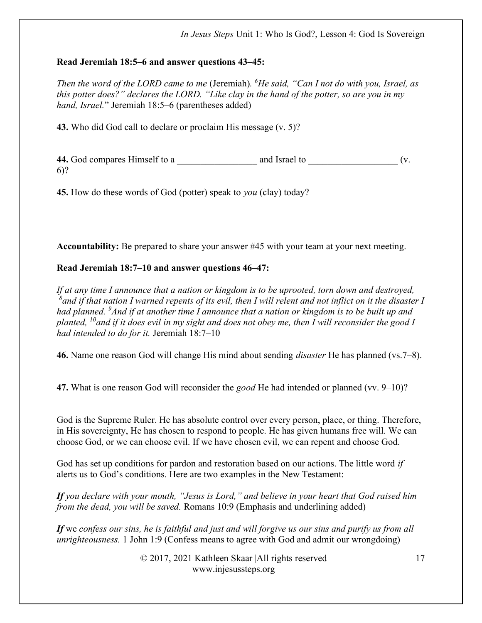## Read Jeremiah 18:5–6 and answer questions 43–45:

Then the word of the LORD came to me (Jeremiah).  ${}^{6}$ He said, "Can I not do with you, Israel, as this potter does?" declares the LORD. "Like clay in the hand of the potter, so are you in my hand, Israel." Jeremiah 18:5–6 (parentheses added)

43. Who did God call to declare or proclaim His message (v. 5)?

44. God compares Himself to a \_\_\_\_\_\_\_\_\_\_\_\_\_\_\_\_\_ and Israel to \_\_\_\_\_\_\_\_\_\_\_\_\_\_\_\_\_\_\_ (v. 6)?

45. How do these words of God (potter) speak to you (clay) today?

Accountability: Be prepared to share your answer #45 with your team at your next meeting.

# Read Jeremiah 18:7–10 and answer questions 46–47:

If at any time I announce that a nation or kingdom is to be uprooted, torn down and destroyed,  $\delta$  and if that nation I warned repents of its evil, then I will relent and not inflict on it the disaster I had planned. <sup>9</sup>And if at another time I announce that a nation or kingdom is to be built up and planted,  $^{10}$ and if it does evil in my sight and does not obey me, then I will reconsider the good I had intended to do for it. Jeremiah 18:7-10

46. Name one reason God will change His mind about sending *disaster* He has planned (vs. 7–8).

47. What is one reason God will reconsider the good He had intended or planned (vv. 9–10)?

God is the Supreme Ruler. He has absolute control over every person, place, or thing. Therefore, in His sovereignty, He has chosen to respond to people. He has given humans free will. We can choose God, or we can choose evil. If we have chosen evil, we can repent and choose God.

God has set up conditions for pardon and restoration based on our actions. The little word *if* alerts us to God's conditions. Here are two examples in the New Testament:

If you declare with your mouth, "Jesus is Lord," and believe in your heart that God raised him from the dead, you will be saved. Romans 10:9 (Emphasis and underlining added)

If we confess our sins, he is faithful and just and will forgive us our sins and purify us from all unrighteousness. 1 John 1:9 (Confess means to agree with God and admit our wrongdoing)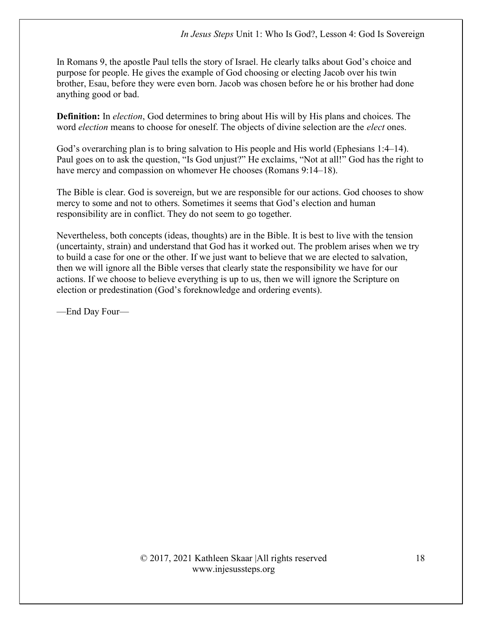In Romans 9, the apostle Paul tells the story of Israel. He clearly talks about God's choice and purpose for people. He gives the example of God choosing or electing Jacob over his twin brother, Esau, before they were even born. Jacob was chosen before he or his brother had done anything good or bad.

**Definition:** In *election*, God determines to bring about His will by His plans and choices. The word *election* means to choose for oneself. The objects of divine selection are the *elect* ones.

God's overarching plan is to bring salvation to His people and His world (Ephesians 1:4–14). Paul goes on to ask the question, "Is God unjust?" He exclaims, "Not at all!" God has the right to have mercy and compassion on whomever He chooses (Romans 9:14–18).

The Bible is clear. God is sovereign, but we are responsible for our actions. God chooses to show mercy to some and not to others. Sometimes it seems that God's election and human responsibility are in conflict. They do not seem to go together.

Nevertheless, both concepts (ideas, thoughts) are in the Bible. It is best to live with the tension (uncertainty, strain) and understand that God has it worked out. The problem arises when we try to build a case for one or the other. If we just want to believe that we are elected to salvation, then we will ignore all the Bible verses that clearly state the responsibility we have for our actions. If we choose to believe everything is up to us, then we will ignore the Scripture on election or predestination (God's foreknowledge and ordering events).

—End Day Four—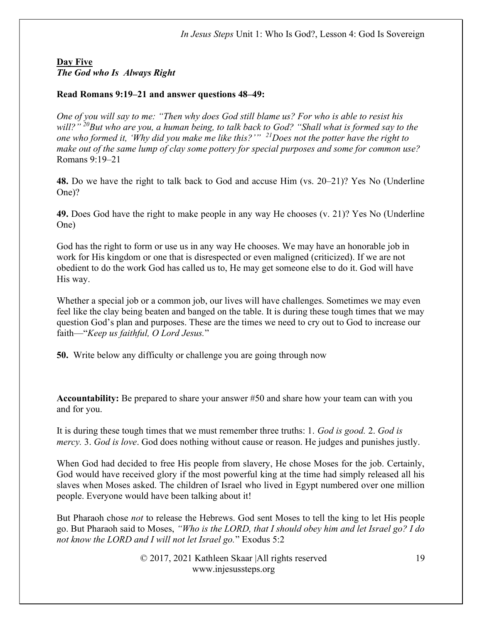### Day Five The God who Is Always Right

#### Read Romans 9:19–21 and answer questions 48–49:

One of you will say to me: "Then why does God still blame us? For who is able to resist his will?"  $^{20}$ But who are you, a human being, to talk back to God? "Shall what is formed say to the one who formed it, 'Why did you make me like this?'"  $^{21}$ Does not the potter have the right to make out of the same lump of clay some pottery for special purposes and some for common use? Romans 9:19–21

48. Do we have the right to talk back to God and accuse Him (vs. 20–21)? Yes No (Underline One)?

49. Does God have the right to make people in any way He chooses (v. 21)? Yes No (Underline One)

God has the right to form or use us in any way He chooses. We may have an honorable job in work for His kingdom or one that is disrespected or even maligned (criticized). If we are not obedient to do the work God has called us to, He may get someone else to do it. God will have His way.

Whether a special job or a common job, our lives will have challenges. Sometimes we may even feel like the clay being beaten and banged on the table. It is during these tough times that we may question God's plan and purposes. These are the times we need to cry out to God to increase our faith—"Keep us faithful, O Lord Jesus."

50. Write below any difficulty or challenge you are going through now

Accountability: Be prepared to share your answer #50 and share how your team can with you and for you.

It is during these tough times that we must remember three truths: 1. God is good. 2. God is mercy. 3. God is love. God does nothing without cause or reason. He judges and punishes justly.

When God had decided to free His people from slavery, He chose Moses for the job. Certainly, God would have received glory if the most powerful king at the time had simply released all his slaves when Moses asked. The children of Israel who lived in Egypt numbered over one million people. Everyone would have been talking about it!

But Pharaoh chose *not* to release the Hebrews. God sent Moses to tell the king to let His people go. But Pharaoh said to Moses, "Who is the LORD, that I should obey him and let Israel go? I do not know the LORD and I will not let Israel go." Exodus 5:2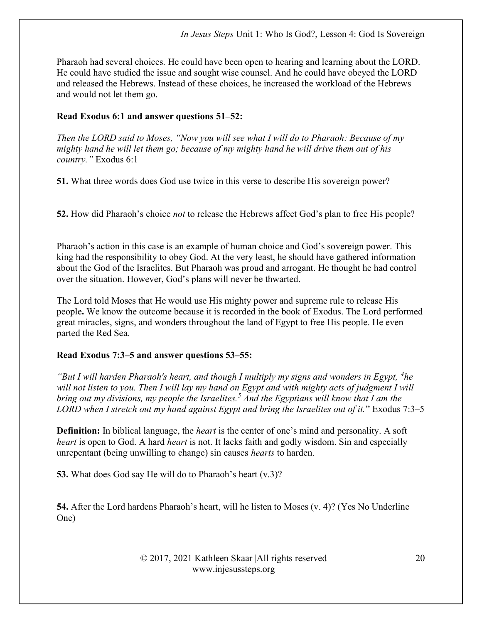Pharaoh had several choices. He could have been open to hearing and learning about the LORD. He could have studied the issue and sought wise counsel. And he could have obeyed the LORD and released the Hebrews. Instead of these choices, he increased the workload of the Hebrews and would not let them go.

## Read Exodus 6:1 and answer questions 51–52:

Then the LORD said to Moses, "Now you will see what I will do to Pharaoh: Because of my mighty hand he will let them go; because of my mighty hand he will drive them out of his country." Exodus 6:1

51. What three words does God use twice in this verse to describe His sovereign power?

52. How did Pharaoh's choice not to release the Hebrews affect God's plan to free His people?

Pharaoh's action in this case is an example of human choice and God's sovereign power. This king had the responsibility to obey God. At the very least, he should have gathered information about the God of the Israelites. But Pharaoh was proud and arrogant. He thought he had control over the situation. However, God's plans will never be thwarted.

The Lord told Moses that He would use His mighty power and supreme rule to release His people. We know the outcome because it is recorded in the book of Exodus. The Lord performed great miracles, signs, and wonders throughout the land of Egypt to free His people. He even parted the Red Sea.

## Read Exodus 7:3–5 and answer questions 53–55:

"But I will harden Pharaoh's heart, and though I multiply my signs and wonders in Egypt,  ${}^4$ he will not listen to you. Then I will lay my hand on Egypt and with mighty acts of judgment I will bring out my divisions, my people the Israelites.<sup>5</sup> And the Egyptians will know that I am the LORD when I stretch out my hand against Egypt and bring the Israelites out of it." Exodus 7:3–5

**Definition:** In biblical language, the *heart* is the center of one's mind and personality. A soft heart is open to God. A hard heart is not. It lacks faith and godly wisdom. Sin and especially unrepentant (being unwilling to change) sin causes hearts to harden.

53. What does God say He will do to Pharaoh's heart  $(v.3)$ ?

54. After the Lord hardens Pharaoh's heart, will he listen to Moses (v. 4)? (Yes No Underline One)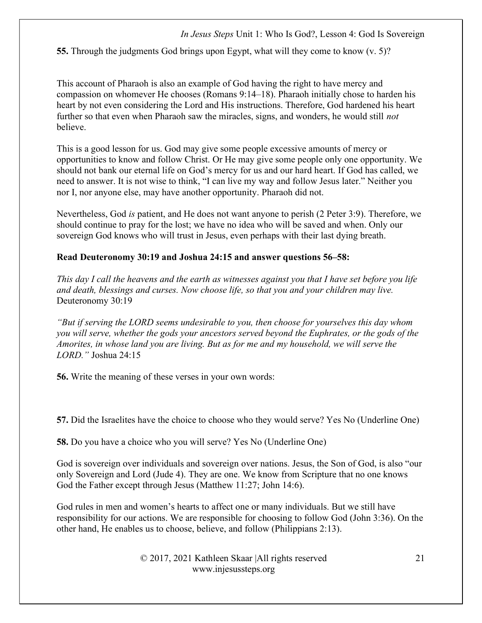55. Through the judgments God brings upon Egypt, what will they come to know (v. 5)?

This account of Pharaoh is also an example of God having the right to have mercy and compassion on whomever He chooses (Romans 9:14–18). Pharaoh initially chose to harden his heart by not even considering the Lord and His instructions. Therefore, God hardened his heart further so that even when Pharaoh saw the miracles, signs, and wonders, he would still *not* believe.

This is a good lesson for us. God may give some people excessive amounts of mercy or opportunities to know and follow Christ. Or He may give some people only one opportunity. We should not bank our eternal life on God's mercy for us and our hard heart. If God has called, we need to answer. It is not wise to think, "I can live my way and follow Jesus later." Neither you nor I, nor anyone else, may have another opportunity. Pharaoh did not.

Nevertheless, God is patient, and He does not want anyone to perish (2 Peter 3:9). Therefore, we should continue to pray for the lost; we have no idea who will be saved and when. Only our sovereign God knows who will trust in Jesus, even perhaps with their last dying breath.

#### Read Deuteronomy 30:19 and Joshua 24:15 and answer questions 56–58:

This day I call the heavens and the earth as witnesses against you that I have set before you life and death, blessings and curses. Now choose life, so that you and your children may live. Deuteronomy 30:19

"But if serving the LORD seems undesirable to you, then choose for yourselves this day whom you will serve, whether the gods your ancestors served beyond the Euphrates, or the gods of the Amorites, in whose land you are living. But as for me and my household, we will serve the LORD." Joshua 24:15

56. Write the meaning of these verses in your own words:

57. Did the Israelites have the choice to choose who they would serve? Yes No (Underline One)

58. Do you have a choice who you will serve? Yes No (Underline One)

God is sovereign over individuals and sovereign over nations. Jesus, the Son of God, is also "our only Sovereign and Lord (Jude 4). They are one. We know from Scripture that no one knows God the Father except through Jesus (Matthew 11:27; John 14:6).

God rules in men and women's hearts to affect one or many individuals. But we still have responsibility for our actions. We are responsible for choosing to follow God (John 3:36). On the other hand, He enables us to choose, believe, and follow (Philippians 2:13).